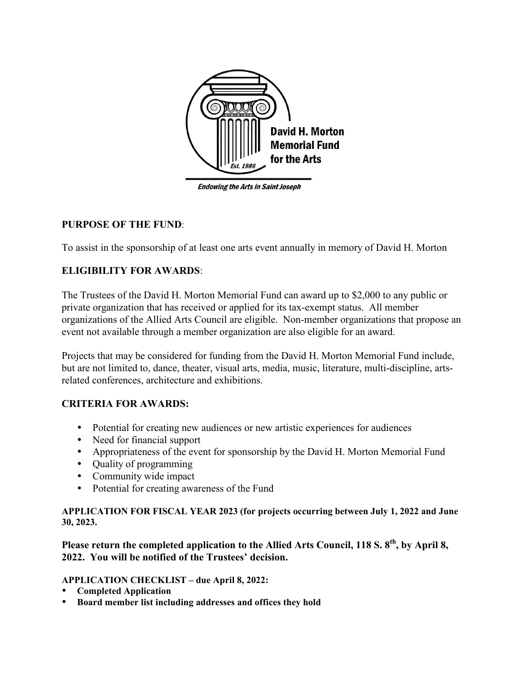

**Endowing the Arts in Saint Joseph** 

## **PURPOSE OF THE FUND**:

To assist in the sponsorship of at least one arts event annually in memory of David H. Morton

# **ELIGIBILITY FOR AWARDS**:

The Trustees of the David H. Morton Memorial Fund can award up to \$2,000 to any public or private organization that has received or applied for its tax-exempt status. All member organizations of the Allied Arts Council are eligible. Non-member organizations that propose an event not available through a member organization are also eligible for an award.

Projects that may be considered for funding from the David H. Morton Memorial Fund include, but are not limited to, dance, theater, visual arts, media, music, literature, multi-discipline, artsrelated conferences, architecture and exhibitions.

## **CRITERIA FOR AWARDS:**

- Potential for creating new audiences or new artistic experiences for audiences
- Need for financial support
- Appropriateness of the event for sponsorship by the David H. Morton Memorial Fund
- Quality of programming
- Community wide impact
- Potential for creating awareness of the Fund

#### **APPLICATION FOR FISCAL YEAR 2023 (for projects occurring between July 1, 2022 and June 30, 2023.**

Please return the completed application to the Allied Arts Council, 118 S. 8<sup>th</sup>, by April 8, **2022. You will be notified of the Trustees' decision.**

#### **APPLICATION CHECKLIST – due April 8, 2022:**

- **Completed Application**
- **Board member list including addresses and offices they hold**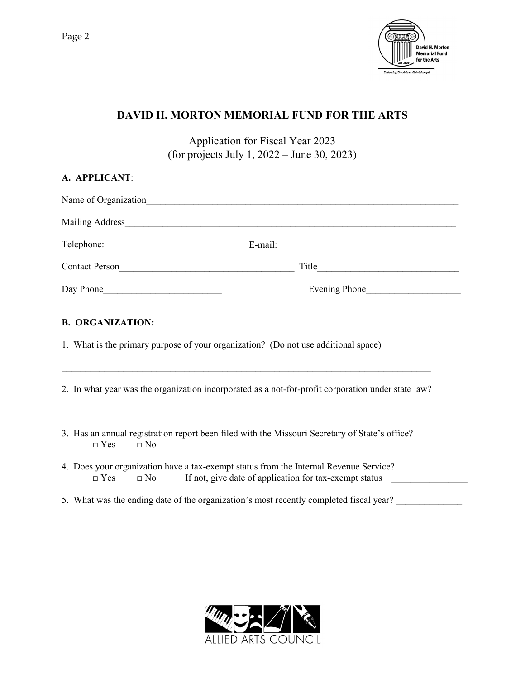

# **DAVID H. MORTON MEMORIAL FUND FOR THE ARTS**

Application for Fiscal Year 2023 (for projects July 1, 2022 – June 30, 2023)

| A. APPLICANT:              |                                                                                                                                                 |
|----------------------------|-------------------------------------------------------------------------------------------------------------------------------------------------|
|                            |                                                                                                                                                 |
|                            |                                                                                                                                                 |
| Telephone:                 | E-mail:                                                                                                                                         |
|                            | Title                                                                                                                                           |
| Day Phone<br>Evening Phone |                                                                                                                                                 |
|                            | 2. In what year was the organization incorporated as a not-for-profit corporation under state law?                                              |
| $\Box$ Yes<br>$\Box$ No    | 3. Has an annual registration report been filed with the Missouri Secretary of State's office?                                                  |
| $\Box$ Yes<br>$\Box$ No    | 4. Does your organization have a tax-exempt status from the Internal Revenue Service?<br>If not, give date of application for tax-exempt status |
|                            | 5. What was the ending date of the organization's most recently completed fiscal year?                                                          |

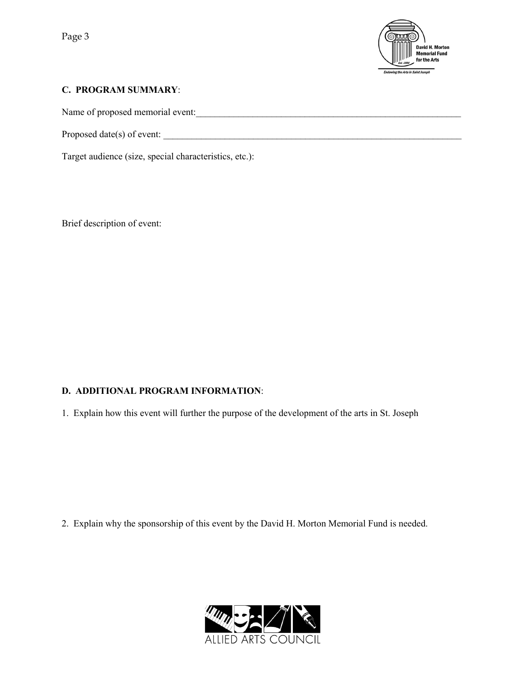

#### **C. PROGRAM SUMMARY**:

Name of proposed memorial event:

Proposed date(s) of event:

Target audience (size, special characteristics, etc.):

Brief description of event:

## **D. ADDITIONAL PROGRAM INFORMATION**:

1. Explain how this event will further the purpose of the development of the arts in St. Joseph

2. Explain why the sponsorship of this event by the David H. Morton Memorial Fund is needed.

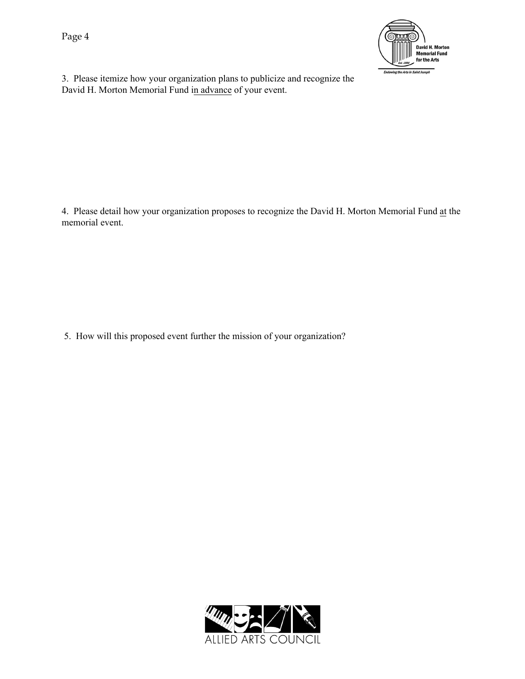Page 4



3. Please itemize how your organization plans to publicize and recognize the David H. Morton Memorial Fund in advance of your event.

4. Please detail how your organization proposes to recognize the David H. Morton Memorial Fund at the memorial event.

5. How will this proposed event further the mission of your organization?

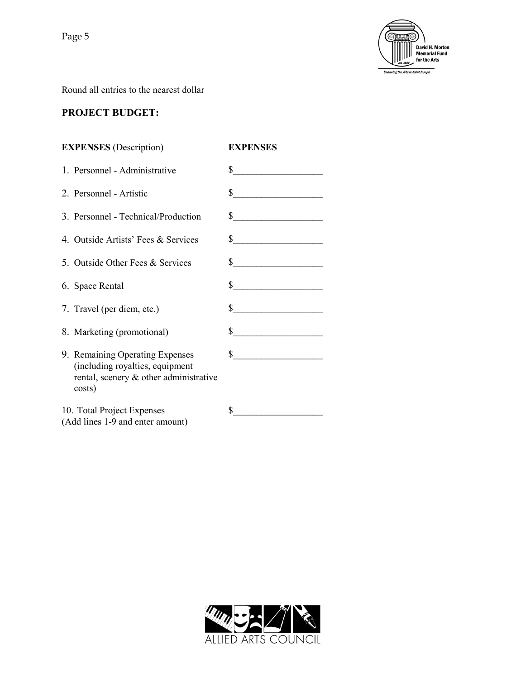

Round all entries to the nearest dollar

## **PROJECT BUDGET:**

| <b>EXPENSES</b> (Description)                                                                                          | <b>EXPENSES</b>             |
|------------------------------------------------------------------------------------------------------------------------|-----------------------------|
| 1. Personnel - Administrative                                                                                          | $\int$                      |
| 2. Personnel - Artistic                                                                                                | $\frac{1}{2}$               |
| 3. Personnel - Technical/Production                                                                                    | $\frac{\text{S}}{\text{S}}$ |
| 4. Outside Artists' Fees & Services                                                                                    | $\sim$                      |
| 5. Outside Other Fees & Services                                                                                       | $\sim$                      |
| 6. Space Rental                                                                                                        | $\sim$                      |
| 7. Travel (per diem, etc.)                                                                                             | $\sim$                      |
| 8. Marketing (promotional)                                                                                             | $\frac{\text{S}}{\text{S}}$ |
| 9. Remaining Operating Expenses<br>(including royalties, equipment<br>rental, scenery & other administrative<br>costs) | $\sim$                      |
| 10. Total Project Expenses<br>(Add lines 1-9 and enter amount)                                                         | \$                          |